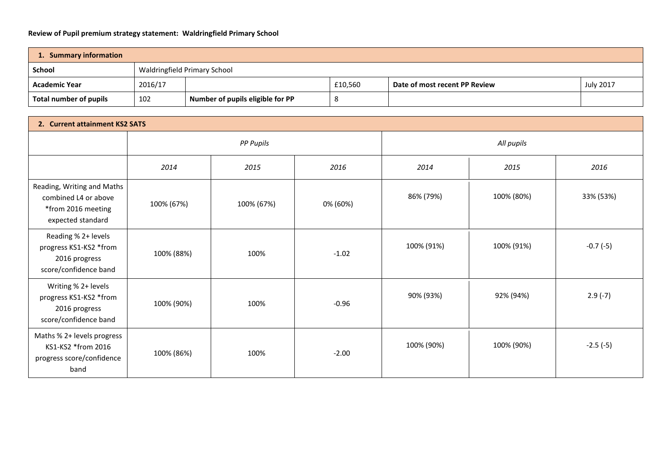## **Review of Pupil premium strategy statement: Waldringfield Primary School**

| 1. Summary information |         |                                  |         |                               |                  |  |
|------------------------|---------|----------------------------------|---------|-------------------------------|------------------|--|
| <b>School</b>          |         | Waldringfield Primary School     |         |                               |                  |  |
| <b>Academic Year</b>   | 2016/17 |                                  | £10,560 | Date of most recent PP Review | <b>July 2017</b> |  |
| Total number of pupils | 102     | Number of pupils eligible for PP |         |                               |                  |  |

| 2. Current attainment KS2 SATS                                                                |                  |            |          |            |            |            |
|-----------------------------------------------------------------------------------------------|------------------|------------|----------|------------|------------|------------|
|                                                                                               | <b>PP Pupils</b> |            |          | All pupils |            |            |
|                                                                                               | 2014             | 2015       | 2016     | 2014       | 2015       | 2016       |
| Reading, Writing and Maths<br>combined L4 or above<br>*from 2016 meeting<br>expected standard | 100% (67%)       | 100% (67%) | 0% (60%) | 86% (79%)  | 100% (80%) | 33% (53%)  |
| Reading % 2+ levels<br>progress KS1-KS2 *from<br>2016 progress<br>score/confidence band       | 100% (88%)       | 100%       | $-1.02$  | 100% (91%) | 100% (91%) | $-0.7(-5)$ |
| Writing % 2+ levels<br>progress KS1-KS2 *from<br>2016 progress<br>score/confidence band       | 100% (90%)       | 100%       | $-0.96$  | 90% (93%)  | 92% (94%)  | $2.9(-7)$  |
| Maths % 2+ levels progress<br>KS1-KS2 *from 2016<br>progress score/confidence<br>band         | 100% (86%)       | 100%       | $-2.00$  | 100% (90%) | 100% (90%) | $-2.5(-5)$ |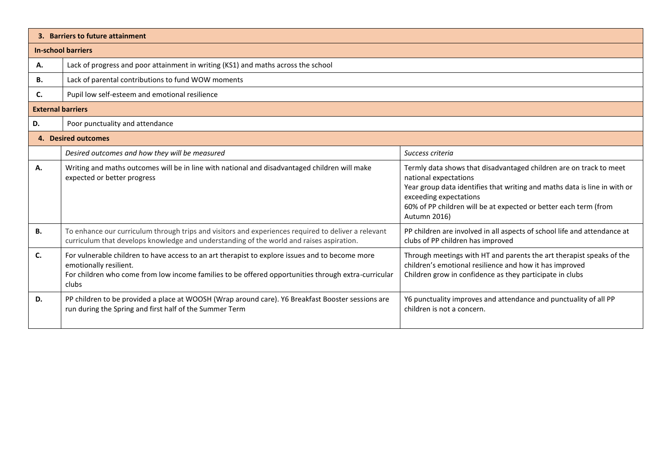|                          | 3. Barriers to future attainment                                                                                                                                                                                                          |                                                                                                                                                                                                                                                                                        |  |  |
|--------------------------|-------------------------------------------------------------------------------------------------------------------------------------------------------------------------------------------------------------------------------------------|----------------------------------------------------------------------------------------------------------------------------------------------------------------------------------------------------------------------------------------------------------------------------------------|--|--|
|                          | <b>In-school barriers</b>                                                                                                                                                                                                                 |                                                                                                                                                                                                                                                                                        |  |  |
| А.                       | Lack of progress and poor attainment in writing (KS1) and maths across the school                                                                                                                                                         |                                                                                                                                                                                                                                                                                        |  |  |
| В.                       | Lack of parental contributions to fund WOW moments                                                                                                                                                                                        |                                                                                                                                                                                                                                                                                        |  |  |
| C.                       | Pupil low self-esteem and emotional resilience                                                                                                                                                                                            |                                                                                                                                                                                                                                                                                        |  |  |
| <b>External barriers</b> |                                                                                                                                                                                                                                           |                                                                                                                                                                                                                                                                                        |  |  |
| D.                       | Poor punctuality and attendance                                                                                                                                                                                                           |                                                                                                                                                                                                                                                                                        |  |  |
|                          | 4. Desired outcomes                                                                                                                                                                                                                       |                                                                                                                                                                                                                                                                                        |  |  |
|                          | Desired outcomes and how they will be measured                                                                                                                                                                                            | Success criteria                                                                                                                                                                                                                                                                       |  |  |
| А.                       | Writing and maths outcomes will be in line with national and disadvantaged children will make<br>expected or better progress                                                                                                              | Termly data shows that disadvantaged children are on track to meet<br>national expectations<br>Year group data identifies that writing and maths data is line in with or<br>exceeding expectations<br>60% of PP children will be at expected or better each term (from<br>Autumn 2016) |  |  |
| <b>B.</b>                | To enhance our curriculum through trips and visitors and experiences required to deliver a relevant<br>curriculum that develops knowledge and understanding of the world and raises aspiration.                                           | PP children are involved in all aspects of school life and attendance at<br>clubs of PP children has improved                                                                                                                                                                          |  |  |
| C.                       | For vulnerable children to have access to an art therapist to explore issues and to become more<br>emotionally resilient.<br>For children who come from low income families to be offered opportunities through extra-curricular<br>clubs | Through meetings with HT and parents the art therapist speaks of the<br>children's emotional resilience and how it has improved<br>Children grow in confidence as they participate in clubs                                                                                            |  |  |
| D.                       | PP children to be provided a place at WOOSH (Wrap around care). Y6 Breakfast Booster sessions are<br>run during the Spring and first half of the Summer Term                                                                              | Y6 punctuality improves and attendance and punctuality of all PP<br>children is not a concern.                                                                                                                                                                                         |  |  |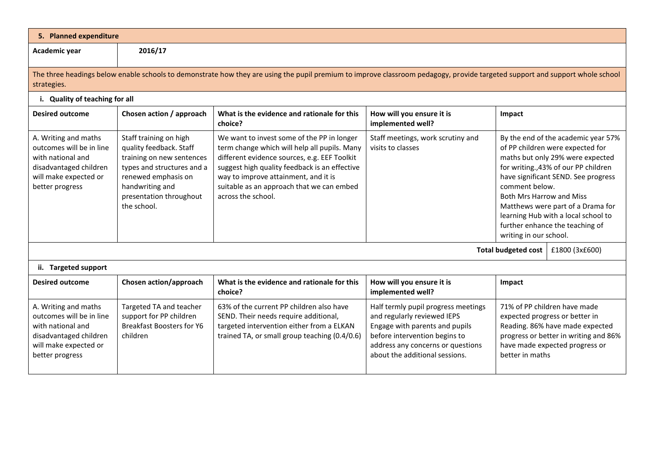| 5. Planned expenditure                                                                                                                                                                      |                                                                                                                                                                                                  |                                                                                                                                                                                                                                                                                                        |                                                                                                                                                                                                              |                                                                                                                                                                                                                                                                                                                                                                                          |  |  |
|---------------------------------------------------------------------------------------------------------------------------------------------------------------------------------------------|--------------------------------------------------------------------------------------------------------------------------------------------------------------------------------------------------|--------------------------------------------------------------------------------------------------------------------------------------------------------------------------------------------------------------------------------------------------------------------------------------------------------|--------------------------------------------------------------------------------------------------------------------------------------------------------------------------------------------------------------|------------------------------------------------------------------------------------------------------------------------------------------------------------------------------------------------------------------------------------------------------------------------------------------------------------------------------------------------------------------------------------------|--|--|
| Academic year                                                                                                                                                                               | 2016/17                                                                                                                                                                                          |                                                                                                                                                                                                                                                                                                        |                                                                                                                                                                                                              |                                                                                                                                                                                                                                                                                                                                                                                          |  |  |
| The three headings below enable schools to demonstrate how they are using the pupil premium to improve classroom pedagogy, provide targeted support and support whole school<br>strategies. |                                                                                                                                                                                                  |                                                                                                                                                                                                                                                                                                        |                                                                                                                                                                                                              |                                                                                                                                                                                                                                                                                                                                                                                          |  |  |
| i. Quality of teaching for all                                                                                                                                                              |                                                                                                                                                                                                  |                                                                                                                                                                                                                                                                                                        |                                                                                                                                                                                                              |                                                                                                                                                                                                                                                                                                                                                                                          |  |  |
| <b>Desired outcome</b>                                                                                                                                                                      | Chosen action / approach                                                                                                                                                                         | What is the evidence and rationale for this<br>choice?                                                                                                                                                                                                                                                 | How will you ensure it is<br>implemented well?                                                                                                                                                               | Impact                                                                                                                                                                                                                                                                                                                                                                                   |  |  |
| A. Writing and maths<br>outcomes will be in line<br>with national and<br>disadvantaged children<br>will make expected or<br>better progress                                                 | Staff training on high<br>quality feedback. Staff<br>training on new sentences<br>types and structures and a<br>renewed emphasis on<br>handwriting and<br>presentation throughout<br>the school. | We want to invest some of the PP in longer<br>term change which will help all pupils. Many<br>different evidence sources, e.g. EEF Toolkit<br>suggest high quality feedback is an effective<br>way to improve attainment, and it is<br>suitable as an approach that we can embed<br>across the school. | Staff meetings, work scrutiny and<br>visits to classes                                                                                                                                                       | By the end of the academic year 57%<br>of PP children were expected for<br>maths but only 29% were expected<br>for writing., 43% of our PP children<br>have significant SEND. See progress<br>comment below.<br><b>Both Mrs Harrow and Miss</b><br>Matthews were part of a Drama for<br>learning Hub with a local school to<br>further enhance the teaching of<br>writing in our school. |  |  |
|                                                                                                                                                                                             |                                                                                                                                                                                                  |                                                                                                                                                                                                                                                                                                        |                                                                                                                                                                                                              | <b>Total budgeted cost</b><br>£1800 (3x£600)                                                                                                                                                                                                                                                                                                                                             |  |  |
| ii. Targeted support                                                                                                                                                                        |                                                                                                                                                                                                  |                                                                                                                                                                                                                                                                                                        |                                                                                                                                                                                                              |                                                                                                                                                                                                                                                                                                                                                                                          |  |  |
| <b>Desired outcome</b>                                                                                                                                                                      | Chosen action/approach                                                                                                                                                                           | What is the evidence and rationale for this<br>choice?                                                                                                                                                                                                                                                 | How will you ensure it is<br>implemented well?                                                                                                                                                               | Impact                                                                                                                                                                                                                                                                                                                                                                                   |  |  |
| A. Writing and maths<br>outcomes will be in line<br>with national and<br>disadvantaged children<br>will make expected or<br>better progress                                                 | Targeted TA and teacher<br>support for PP children<br><b>Breakfast Boosters for Y6</b><br>children                                                                                               | 63% of the current PP children also have<br>SEND. Their needs require additional,<br>targeted intervention either from a ELKAN<br>trained TA, or small group teaching (0.4/0.6)                                                                                                                        | Half termly pupil progress meetings<br>and regularly reviewed IEPS<br>Engage with parents and pupils<br>before intervention begins to<br>address any concerns or questions<br>about the additional sessions. | 71% of PP children have made<br>expected progress or better in<br>Reading. 86% have made expected<br>progress or better in writing and 86%<br>have made expected progress or<br>better in maths                                                                                                                                                                                          |  |  |